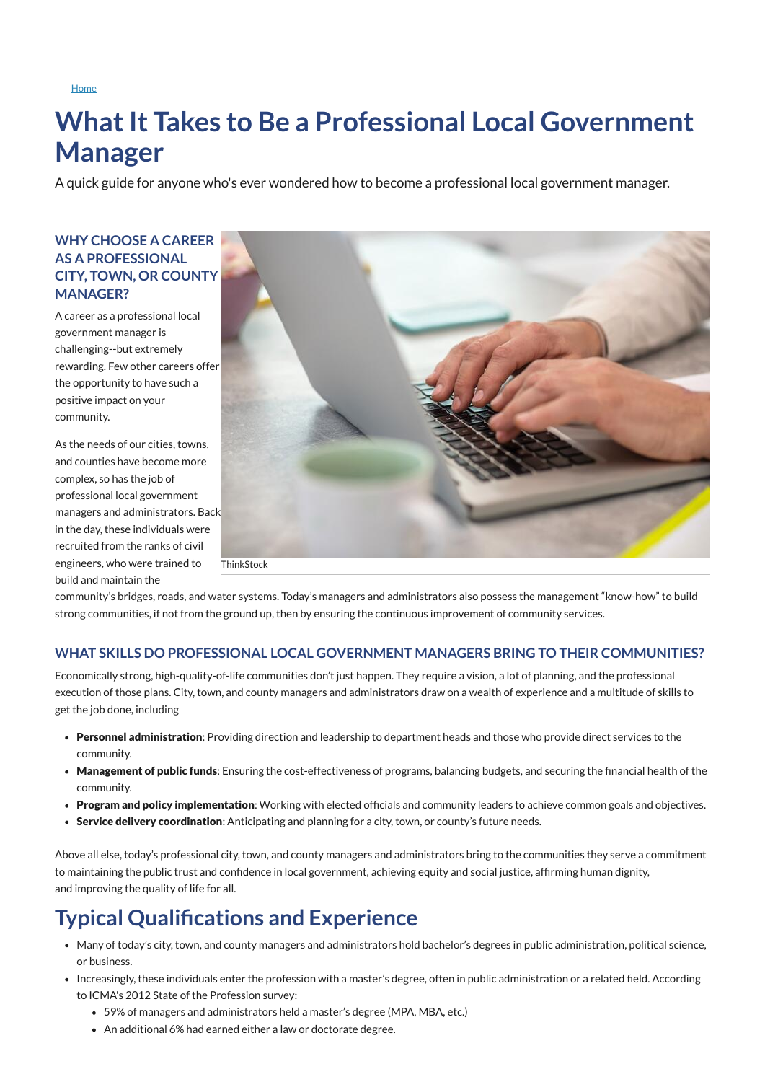**[Home](https://icma.org/)** 

# **What It Takes to Be a Professional Local Government Manager**

A quick guide for anyone who's ever wondered how to become a professional local government manager.



## **WHY CHOOSE A CAREER AS A PROFESSIONAL CITY, TOWN, OR COUNTY MANAGER?**

A career as a professional local government manager is challenging--but extremely rewarding. Few other careers offer the opportunity to have such a positive impact on your community.

As the needs of our cities, towns, and counties have become more complex, so has the job of professional local government managers and administrators. Back in the day, these individuals were recruited from the ranks of civil engineers, who were trained to build and maintain the

community's bridges, roads, and water systems. Today's managers and administrators also possess the management "know-how" to build strong communities, if not from the ground up, then by ensuring the continuous improvement of community services.

## **WHAT SKILLS DO PROFESSIONAL LOCAL GOVERNMENT MANAGERS BRING TO THEIR COMMUNITIES?**

Economically strong, high-quality-of-life communities don't just happen. They require a vision, a lot of planning, and the professional execution of those plans. City, town, and county managers and administrators draw on a wealth of experience and a multitude of skills to get the job done, including

- Personnel administration: Providing direction and leadership to department heads and those who provide direct services to the community.
- Management of public funds: Ensuring the cost-effectiveness of programs, balancing budgets, and securing the financial health of the community.
- Program and policy implementation: Working with elected officials and community leaders to achieve common goals and objectives.
- Service delivery coordination: Anticipating and planning for a city, town, or county's future needs.

Above all else, today's professional city, town, and county managers and administrators bring to the communities they serve a commitment to maintaining the public trust and confidence in local government, achieving equity and social justice, affirming human dignity, and improving the quality of life for all.

# **Typical Qualifications and Experience**

- Many of today's city, town, and county managers and administrators hold bachelor's degrees in public administration, political science, or business.
- Increasingly, these individuals enter the profession with a master's degree, often in public administration or a related field. According to ICMA's 2012 State of the Profession survey:
	- 59% of managers and administrators held a master's degree (MPA, MBA, etc.)
	- An additional 6% had earned either a law or doctorate degree.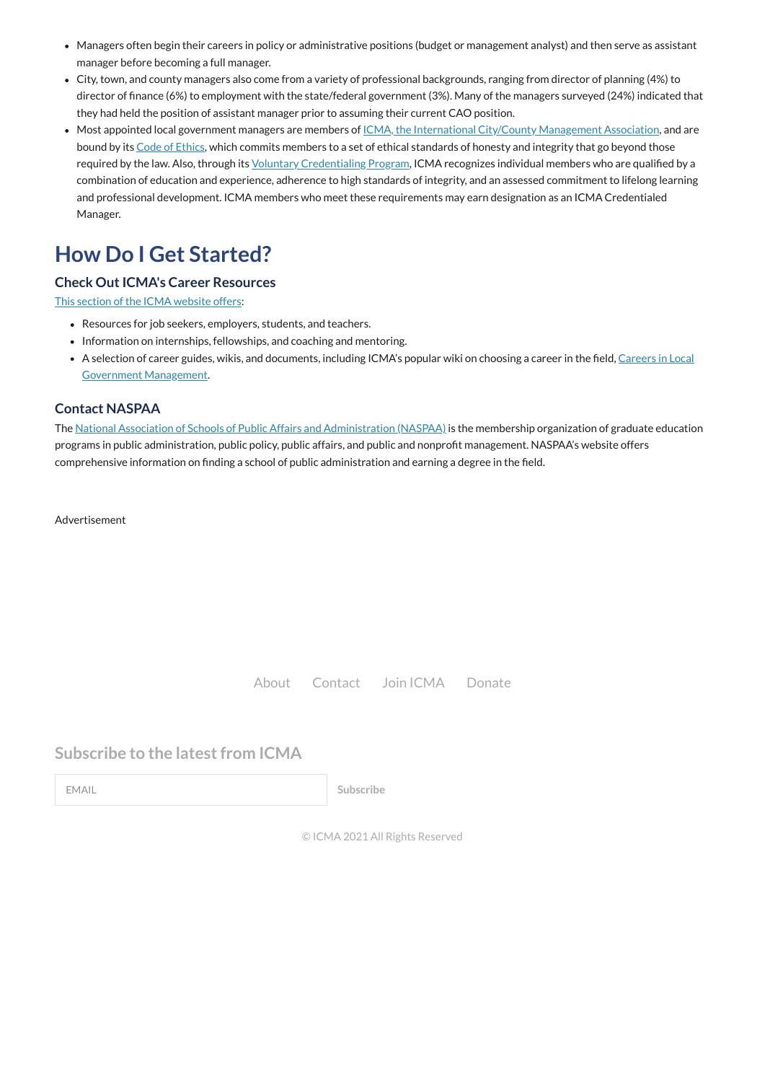© ICMA 2021 All Rights Reserved

- Managers often begin their careers in policy or administrative positions (budget or management analyst) and then serve as assistant manager before becoming a full manager.
- City, town, and county managers also come from a variety of professional backgrounds, ranging from director of planning (4%) to director of finance (6%) to employment with the state/federal government (3%). Many of the managers surveyed (24%) indicated that they had held the position of assistant manager prior to assuming their current CAO position.
- Most appointed local government managers are members of <u>ICMA, the International City/County [Management](https://icma.org/) Association</u>, and are bound by its Code of [Ethics,](https://icma.org/icma-code-ethics) which commits members to a set of ethical standards of honesty and integrity that go beyond those required by the law. Also, through its Voluntary [Credentialing](https://icma.org/voluntary-credentialing-program) Program, ICMA recognizes individual members who are qualified by a combination of education and experience, adherence to high standards of integrity, and an assessed commitment to lifelong learning and professional development. ICMA members who meet these requirements may earn designation as an ICMA Credentialed Manager.

- Resources for job seekers, employers, students, and teachers.
- Information on internships, fellowships, and coaching and mentoring.
- A selection of career guides, wikis, [and documents,](https://icma.org/node/22500) including ICMA's popular wiki on choosing a career in the field, Careers in Local Government Management.

The National Association of Schools of Public Affairs [and Administration](http://www.naspaa.org/) (NASPAA) is the membership organization of graduate education programs in public administration, public policy, public affairs, and public and nonprofit management. NASPAA's website offers comprehensive information on finding a school of public administration and earning a degree in the field.

# **How Do I Get Started?**

## **Check Out ICMA's Career Resources**

This section of the ICMA [website](https://icma.org/careers-learning) offers:

## **Contact NASPAA**

Advertisement

[About](https://icma.org/about-icma) [Contact](https://icma.org/forms/contact-us) Join [ICMA](https://icma.org/join-renew-or-reinstate-your-icma-membership) [Donate](https://icma.org/make-contribution)

## **Subscribe to the latest from ICMA**

EMAIL **Subscribe**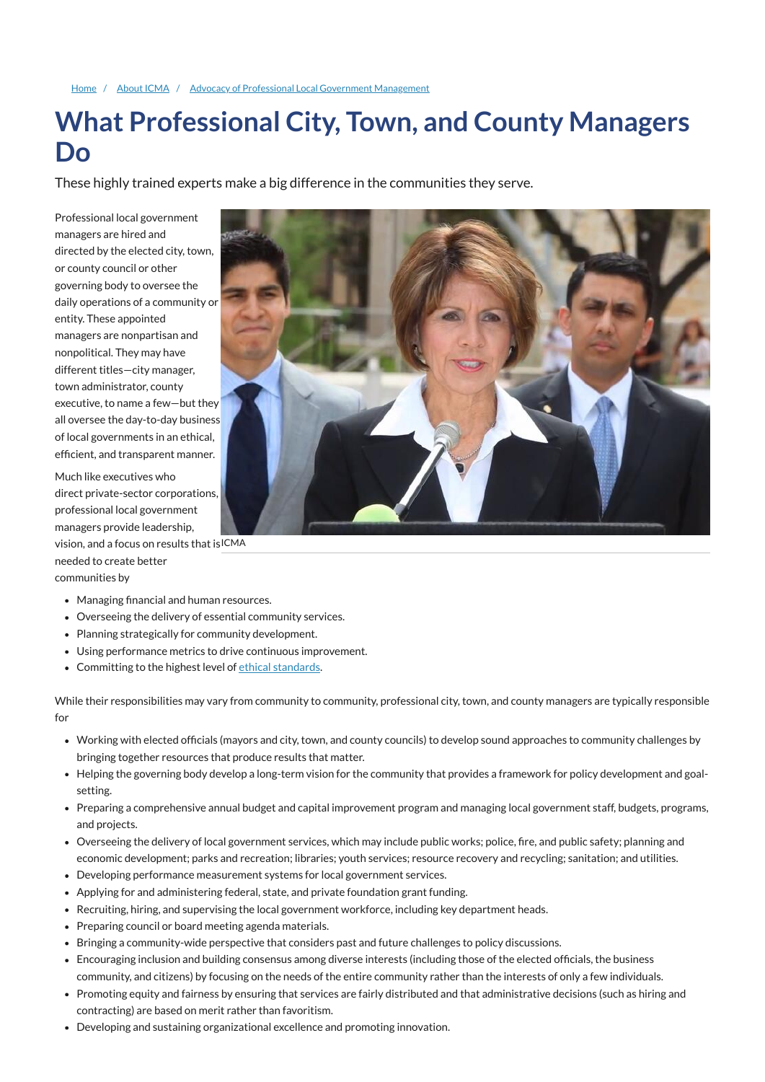#### [Home](https://icma.org/) / [About ICMA](https://icma.org/about-icma) / Advocacy of Professional Local Government [Management](https://icma.org/advocacy-professional-local-government-management)

# **What Professional City, Town, and County Managers Do**

These highly trained experts make a big difference in the communities they serve.

vision, and a focus on results that is  $\mathsf{ICMA}$ needed to create better communities by

- Managing financial and human resources.
- Overseeing the delivery of essential community services.
- Planning strategically for community development.
- Using performance metrics to drive continuous improvement.
- Committing to the highest level of ethical [standards](https://icma.org/ethics).

Professional local government managers are hired and directed by the elected city, town, or county council or other governing body to oversee the daily operations of a community or entity. These appointed managers are nonpartisan and nonpolitical. They may have different titles—city manager, town administrator, county executive, to name a few—but they all oversee the day-to-day business of local governments in an ethical, efficient, and transparent manner.

Much like executives who direct private-sector corporations, professional local government managers provide leadership,

While their responsibilities may vary from community to community, professional city, town, and county managers are typically responsible for

- Working with elected officials (mayors and city, town, and county councils) to develop sound approaches to community challenges by bringing together resources that produce results that matter.
- Helping the governing body develop a long-term vision for the community that provides a framework for policy development and goalsetting.
- Preparing a comprehensive annual budget and capital improvement program and managing local government staff, budgets, programs,



and projects.

- Overseeing the delivery of local government services, which may include public works; police, fire, and public safety; planning and economic development; parks and recreation; libraries; youth services; resource recovery and recycling; sanitation; and utilities.
- Developing performance measurement systems for local government services.
- Applying for and administering federal, state, and private foundation grant funding.
- Recruiting, hiring, and supervising the local government workforce, including key department heads.
- Preparing council or board meeting agenda materials.
- Bringing a community-wide perspective that considers past and future challenges to policy discussions.
- Encouraging inclusion and building consensus among diverse interests (including those of the elected officials, the business community, and citizens) by focusing on the needs of the entire community rather than the interests of only a few individuals.
- Promoting equity and fairness by ensuring that services are fairly distributed and that administrative decisions (such as hiring and contracting) are based on merit rather than favoritism.
- Developing and sustaining organizational excellence and promoting innovation.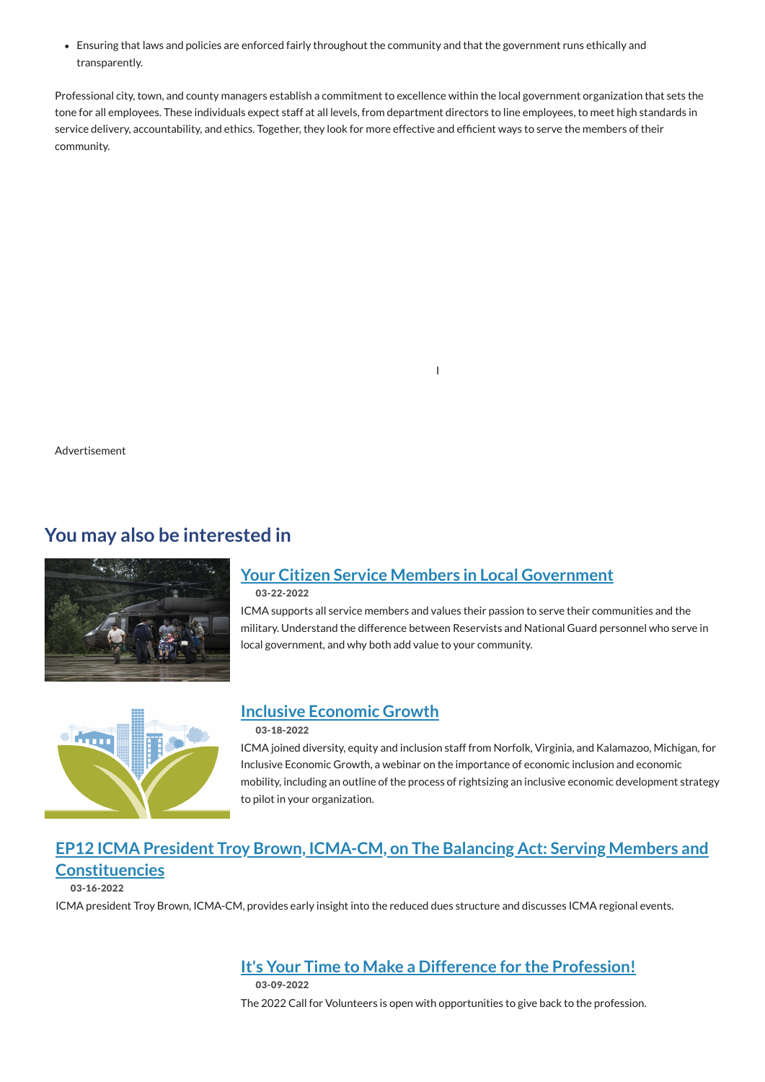# **You may also be interested in**



Ensuring that laws and policies are enforced fairly throughout the community and that the government runs ethically and transparently.

Professional city, town, and county managers establish a commitment to excellence within the local government organization that sets the tone for all employees. These individuals expect staff at all levels, from department directors to line employees, to meet high standards in service delivery, accountability, and ethics. Together, they look for more effective and efficient ways to serve the members of their community.

I

Advertisement

# **Your Citizen Service Members in Local [Government](https://icma.org/blog-posts/your-citizen-service-members-local-government)**

03-22-2022

ICMA supports all service members and values their passion to serve their communities and the military. Understand the difference between Reservists and National Guard personnel who serve in local government, and why both add value to your community.



## **Inclusive [Economic](https://icma.org/blog-posts/inclusive-economic-growth) Growth**

### 03-18-2022

ICMA joined diversity, equity and inclusion staff from Norfolk, Virginia, and Kalamazoo, Michigan, for Inclusive Economic Growth, a webinar on the importance of economic inclusion and economic mobility, including an outline of the process of rightsizing an inclusive economic development strategy to pilot in your organization.

# **EP12 ICMA President Troy Brown, ICMA-CM, on The Balancing Act: Serving Members and [Constituencies](https://icma.org/podcast/2022/ep12-icma-president-troy-brown-icma-cm-balancing-act-serving-members-and-constituencies)**

03-16-2022

ICMA president Troy Brown, ICMA-CM, provides early insight into the reduced dues structure and discusses ICMA regional events.

## **It's Your Time to Make a Difference for the [Profession!](https://icma.org/articles/member-news/its-your-time-make-difference-profession)**

03-09-2022

The 2022 Call for Volunteers is open with opportunities to give back to the profession.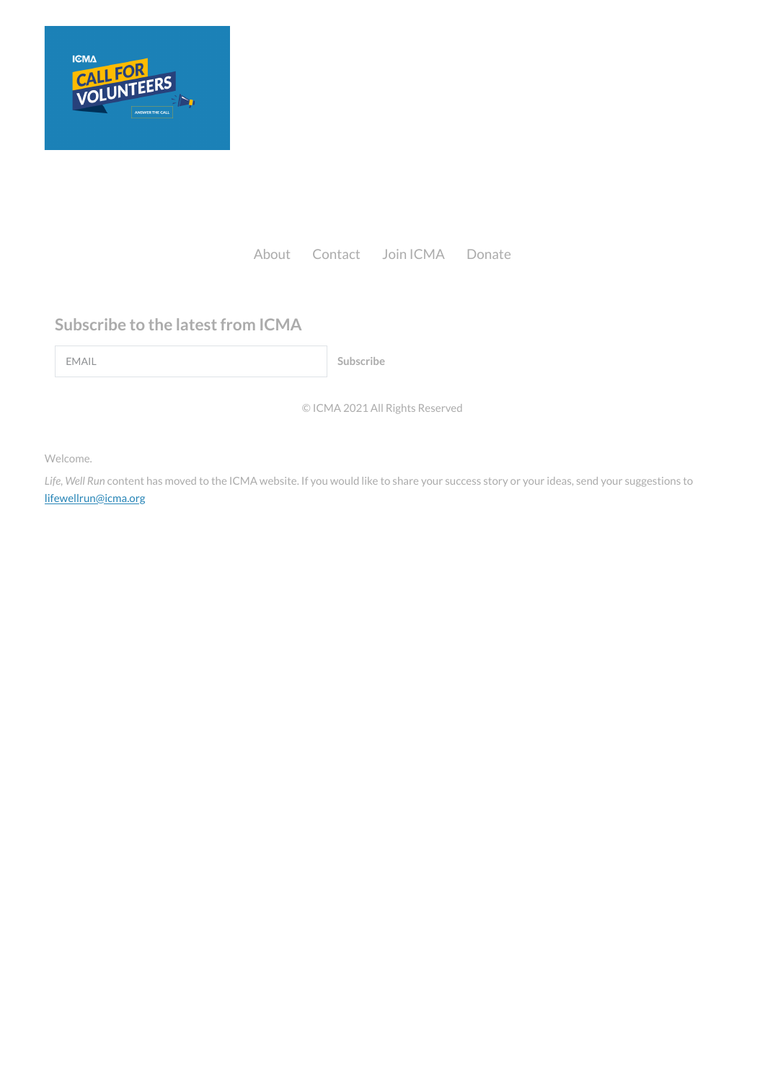© ICMA 2021 All Rights Reserved

Welcome.

*Life, Well Run* content has moved to the ICMA website. If you would like to share your success story or your ideas, send your suggestions to [lifewellrun@icma.org](mailto:lifewellrun@icma.org)



[About](https://icma.org/about-icma) [Contact](https://icma.org/forms/contact-us) Join [ICMA](https://icma.org/join-renew-or-reinstate-your-icma-membership) [Donate](https://icma.org/make-contribution)

# **Subscribe to the latest from ICMA**

EMAIL **Subscribe**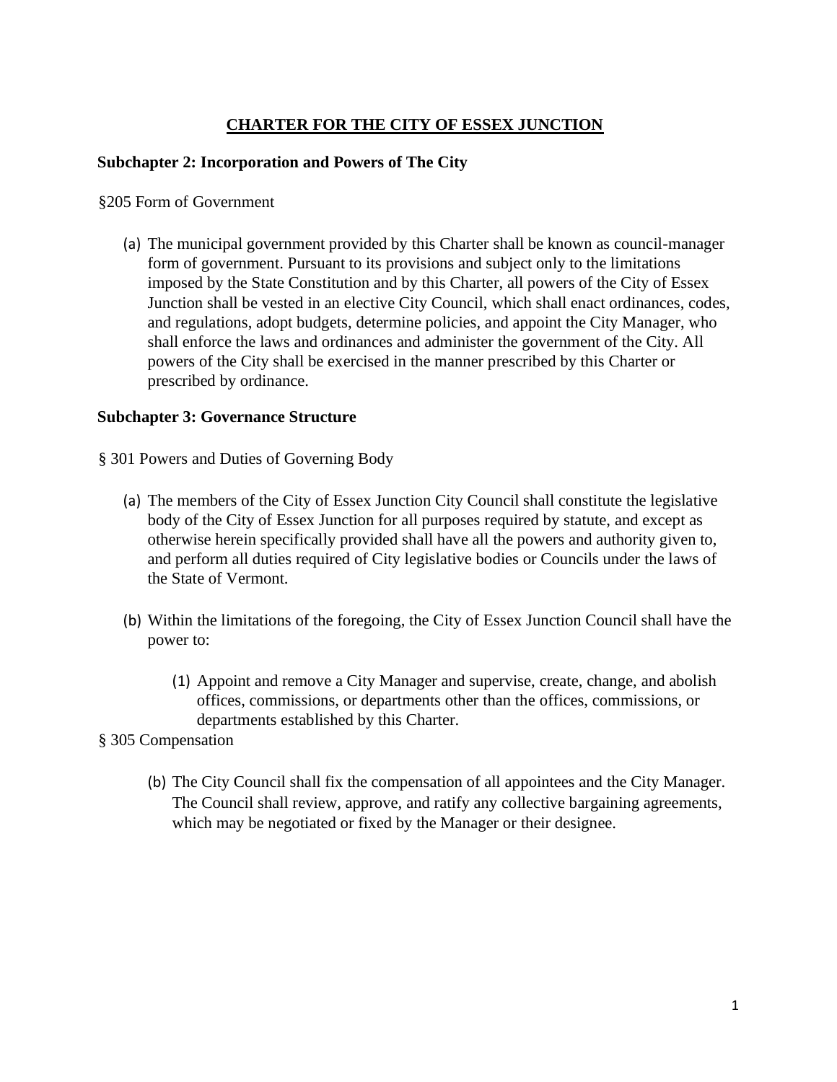### **CHARTER FOR THE CITY OF ESSEX JUNCTION**

#### **Subchapter 2: Incorporation and Powers of The City**

#### §205 Form of Government

(a) The municipal government provided by this Charter shall be known as council-manager form of government. Pursuant to its provisions and subject only to the limitations imposed by the State Constitution and by this Charter, all powers of the City of Essex Junction shall be vested in an elective City Council, which shall enact ordinances, codes, and regulations, adopt budgets, determine policies, and appoint the City Manager, who shall enforce the laws and ordinances and administer the government of the City. All powers of the City shall be exercised in the manner prescribed by this Charter or prescribed by ordinance.

#### **Subchapter 3: Governance Structure**

- § 301 Powers and Duties of Governing Body
	- (a) The members of the City of Essex Junction City Council shall constitute the legislative body of the City of Essex Junction for all purposes required by statute, and except as otherwise herein specifically provided shall have all the powers and authority given to, and perform all duties required of City legislative bodies or Councils under the laws of the State of Vermont.
	- (b) Within the limitations of the foregoing, the City of Essex Junction Council shall have the power to:
		- (1) Appoint and remove a City Manager and supervise, create, change, and abolish offices, commissions, or departments other than the offices, commissions, or departments established by this Charter.
- § 305 Compensation
	- (b) The City Council shall fix the compensation of all appointees and the City Manager. The Council shall review, approve, and ratify any collective bargaining agreements, which may be negotiated or fixed by the Manager or their designee.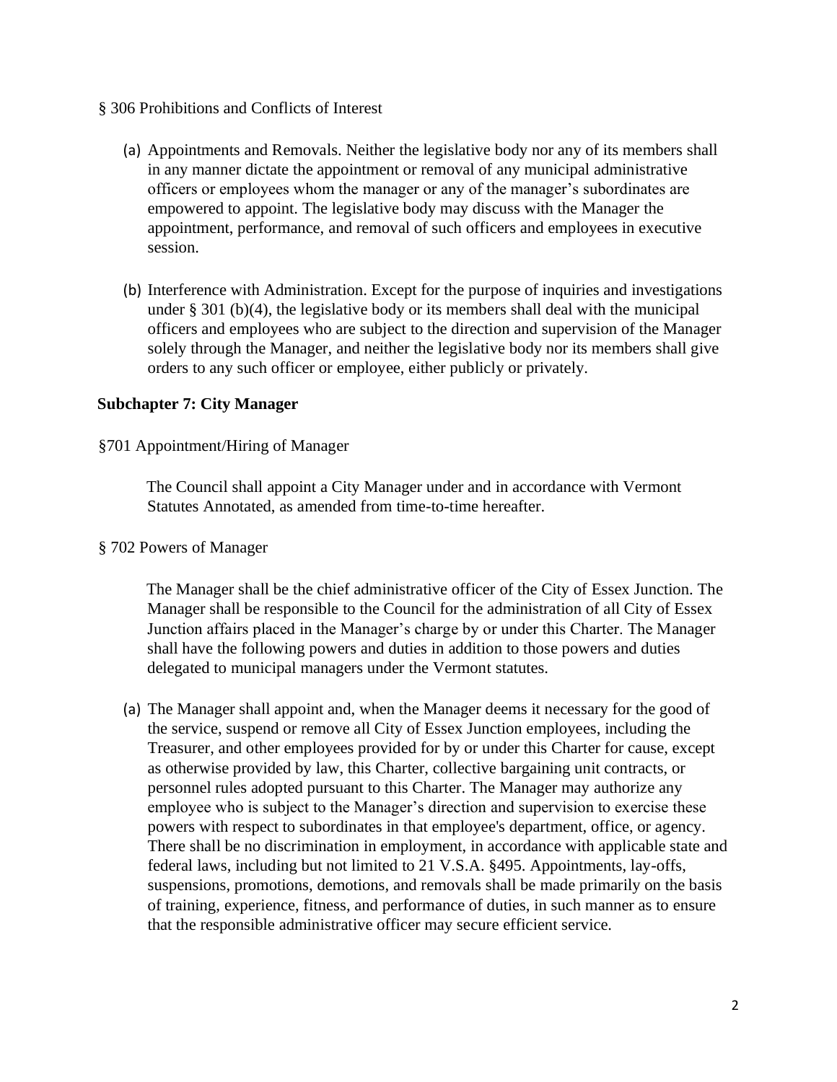- § 306 Prohibitions and Conflicts of Interest
	- (a) Appointments and Removals. Neither the legislative body nor any of its members shall in any manner dictate the appointment or removal of any municipal administrative officers or employees whom the manager or any of the manager's subordinates are empowered to appoint. The legislative body may discuss with the Manager the appointment, performance, and removal of such officers and employees in executive session.
	- (b) Interference with Administration. Except for the purpose of inquiries and investigations under § 301 (b)(4), the legislative body or its members shall deal with the municipal officers and employees who are subject to the direction and supervision of the Manager solely through the Manager, and neither the legislative body nor its members shall give orders to any such officer or employee, either publicly or privately.

#### **Subchapter 7: City Manager**

§701 Appointment/Hiring of Manager

The Council shall appoint a City Manager under and in accordance with Vermont Statutes Annotated, as amended from time-to-time hereafter.

§ 702 Powers of Manager

The Manager shall be the chief administrative officer of the City of Essex Junction. The Manager shall be responsible to the Council for the administration of all City of Essex Junction affairs placed in the Manager's charge by or under this Charter. The Manager shall have the following powers and duties in addition to those powers and duties delegated to municipal managers under the Vermont statutes.

(a) The Manager shall appoint and, when the Manager deems it necessary for the good of the service, suspend or remove all City of Essex Junction employees, including the Treasurer, and other employees provided for by or under this Charter for cause, except as otherwise provided by law, this Charter, collective bargaining unit contracts, or personnel rules adopted pursuant to this Charter. The Manager may authorize any employee who is subject to the Manager's direction and supervision to exercise these powers with respect to subordinates in that employee's department, office, or agency. There shall be no discrimination in employment, in accordance with applicable state and federal laws, including but not limited to 21 V.S.A. §495. Appointments, lay-offs, suspensions, promotions, demotions, and removals shall be made primarily on the basis of training, experience, fitness, and performance of duties, in such manner as to ensure that the responsible administrative officer may secure efficient service.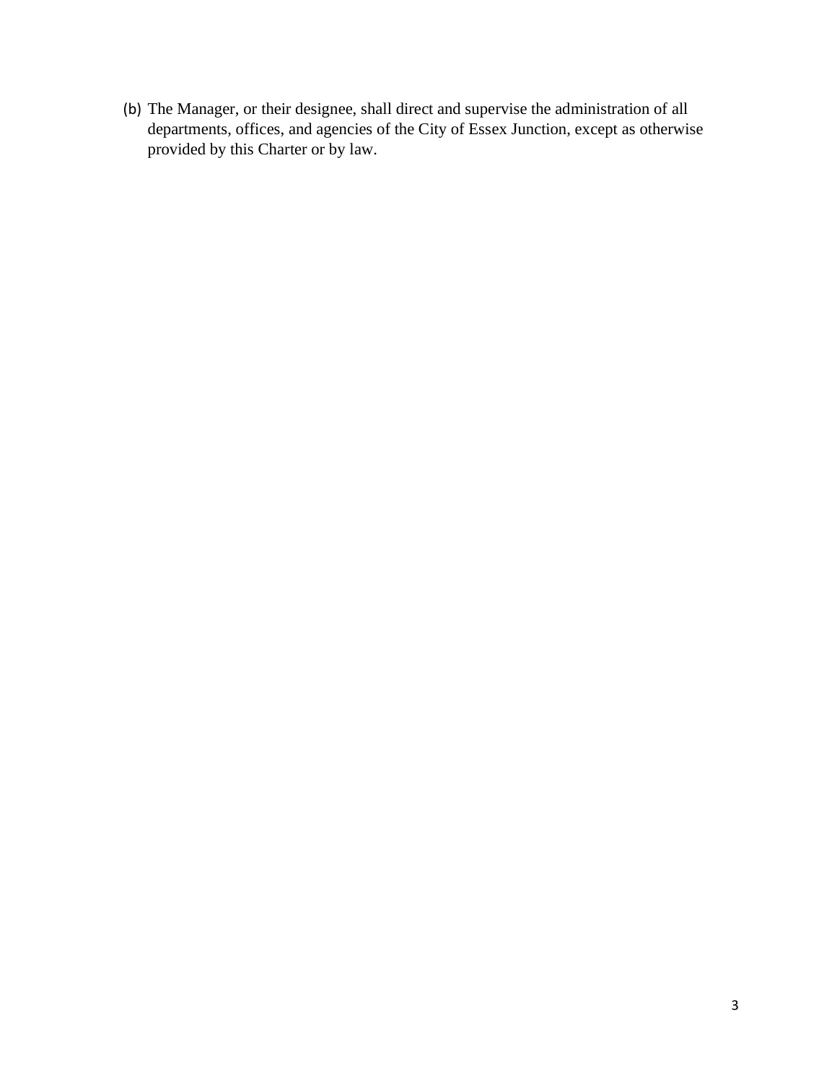(b) The Manager, or their designee, shall direct and supervise the administration of all departments, offices, and agencies of the City of Essex Junction, except as otherwise provided by this Charter or by law.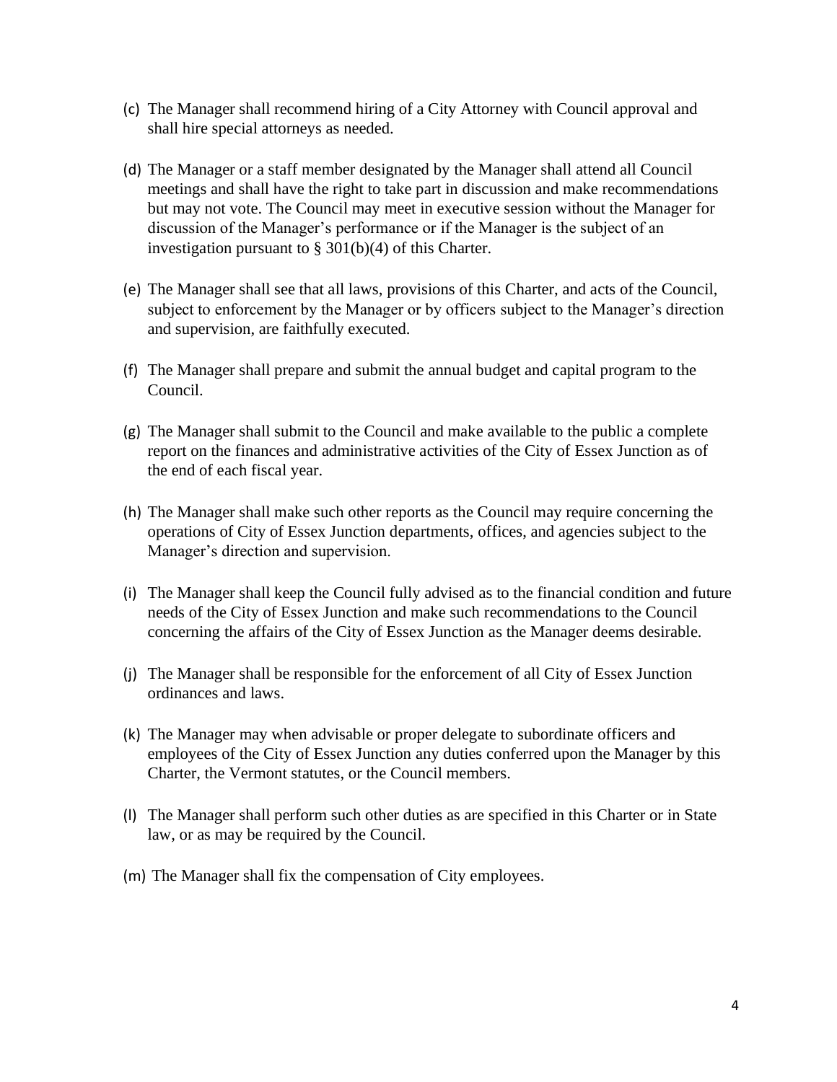- (c) The Manager shall recommend hiring of a City Attorney with Council approval and shall hire special attorneys as needed.
- (d) The Manager or a staff member designated by the Manager shall attend all Council meetings and shall have the right to take part in discussion and make recommendations but may not vote. The Council may meet in executive session without the Manager for discussion of the Manager's performance or if the Manager is the subject of an investigation pursuant to § 301(b)(4) of this Charter.
- (e) The Manager shall see that all laws, provisions of this Charter, and acts of the Council, subject to enforcement by the Manager or by officers subject to the Manager's direction and supervision, are faithfully executed.
- (f) The Manager shall prepare and submit the annual budget and capital program to the Council.
- (g) The Manager shall submit to the Council and make available to the public a complete report on the finances and administrative activities of the City of Essex Junction as of the end of each fiscal year.
- (h) The Manager shall make such other reports as the Council may require concerning the operations of City of Essex Junction departments, offices, and agencies subject to the Manager's direction and supervision.
- (i) The Manager shall keep the Council fully advised as to the financial condition and future needs of the City of Essex Junction and make such recommendations to the Council concerning the affairs of the City of Essex Junction as the Manager deems desirable.
- (j) The Manager shall be responsible for the enforcement of all City of Essex Junction ordinances and laws.
- (k) The Manager may when advisable or proper delegate to subordinate officers and employees of the City of Essex Junction any duties conferred upon the Manager by this Charter, the Vermont statutes, or the Council members.
- (l) The Manager shall perform such other duties as are specified in this Charter or in State law, or as may be required by the Council.
- (m) The Manager shall fix the compensation of City employees.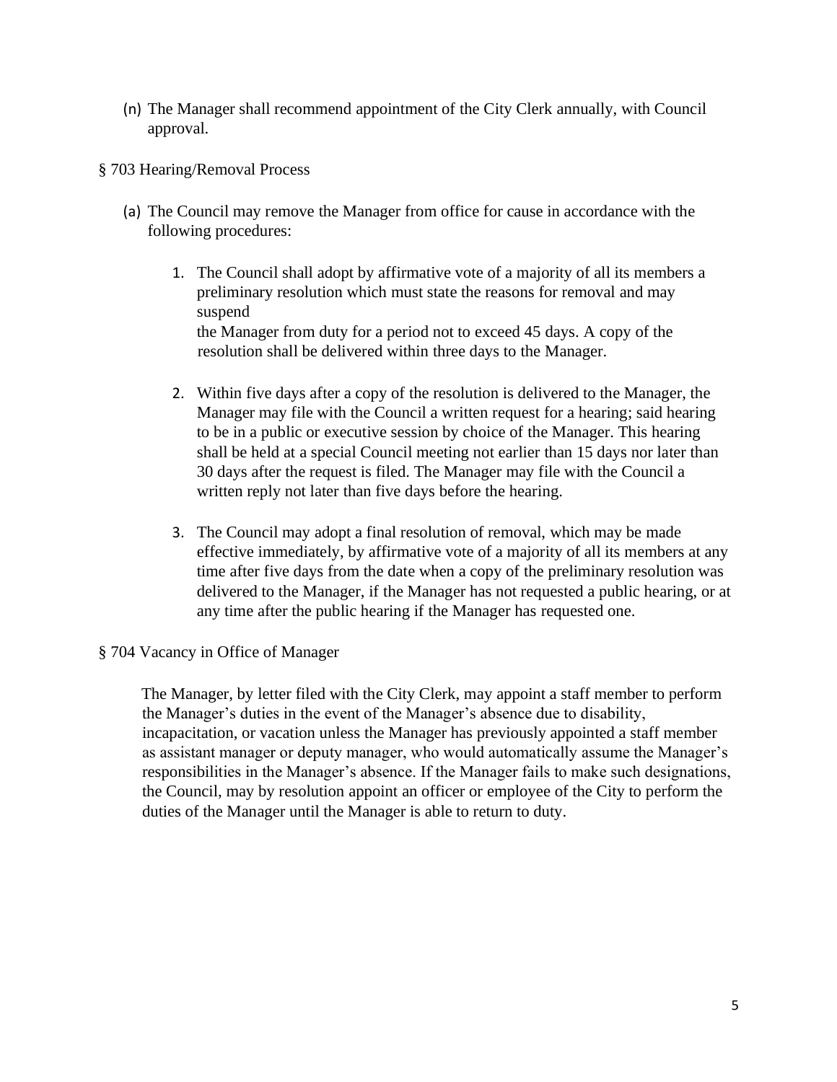- (n) The Manager shall recommend appointment of the City Clerk annually, with Council approval.
- § 703 Hearing/Removal Process
	- (a) The Council may remove the Manager from office for cause in accordance with the following procedures:
		- 1. The Council shall adopt by affirmative vote of a majority of all its members a preliminary resolution which must state the reasons for removal and may suspend the Manager from duty for a period not to exceed 45 days. A copy of the resolution shall be delivered within three days to the Manager.
		- 2. Within five days after a copy of the resolution is delivered to the Manager, the Manager may file with the Council a written request for a hearing; said hearing to be in a public or executive session by choice of the Manager. This hearing shall be held at a special Council meeting not earlier than 15 days nor later than 30 days after the request is filed. The Manager may file with the Council a written reply not later than five days before the hearing.
		- 3. The Council may adopt a final resolution of removal, which may be made effective immediately, by affirmative vote of a majority of all its members at any time after five days from the date when a copy of the preliminary resolution was delivered to the Manager, if the Manager has not requested a public hearing, or at any time after the public hearing if the Manager has requested one.

#### § 704 Vacancy in Office of Manager

The Manager, by letter filed with the City Clerk, may appoint a staff member to perform the Manager's duties in the event of the Manager's absence due to disability, incapacitation, or vacation unless the Manager has previously appointed a staff member as assistant manager or deputy manager, who would automatically assume the Manager's responsibilities in the Manager's absence. If the Manager fails to make such designations, the Council, may by resolution appoint an officer or employee of the City to perform the duties of the Manager until the Manager is able to return to duty.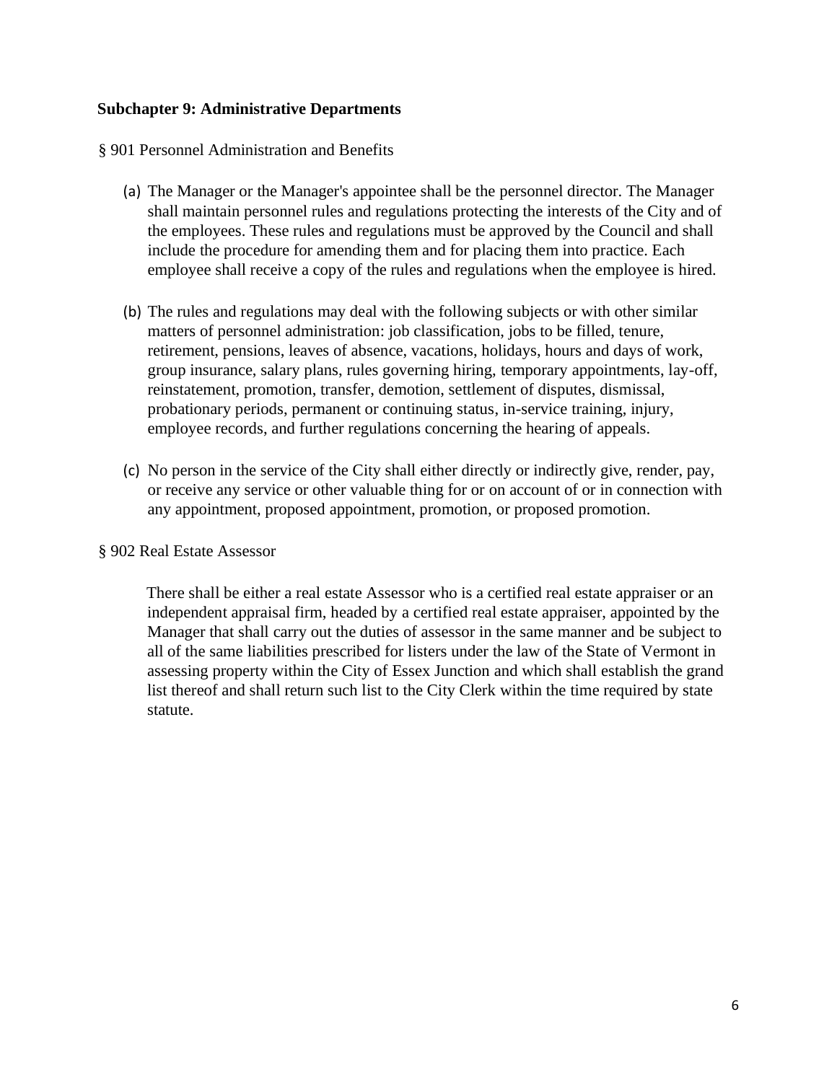#### **Subchapter 9: Administrative Departments**

§ 901 Personnel Administration and Benefits

- (a) The Manager or the Manager's appointee shall be the personnel director. The Manager shall maintain personnel rules and regulations protecting the interests of the City and of the employees. These rules and regulations must be approved by the Council and shall include the procedure for amending them and for placing them into practice. Each employee shall receive a copy of the rules and regulations when the employee is hired.
- (b) The rules and regulations may deal with the following subjects or with other similar matters of personnel administration: job classification, jobs to be filled, tenure, retirement, pensions, leaves of absence, vacations, holidays, hours and days of work, group insurance, salary plans, rules governing hiring, temporary appointments, lay-off, reinstatement, promotion, transfer, demotion, settlement of disputes, dismissal, probationary periods, permanent or continuing status, in-service training, injury, employee records, and further regulations concerning the hearing of appeals.
- (c) No person in the service of the City shall either directly or indirectly give, render, pay, or receive any service or other valuable thing for or on account of or in connection with any appointment, proposed appointment, promotion, or proposed promotion.

#### § 902 Real Estate Assessor

There shall be either a real estate Assessor who is a certified real estate appraiser or an independent appraisal firm, headed by a certified real estate appraiser, appointed by the Manager that shall carry out the duties of assessor in the same manner and be subject to all of the same liabilities prescribed for listers under the law of the State of Vermont in assessing property within the City of Essex Junction and which shall establish the grand list thereof and shall return such list to the City Clerk within the time required by state statute.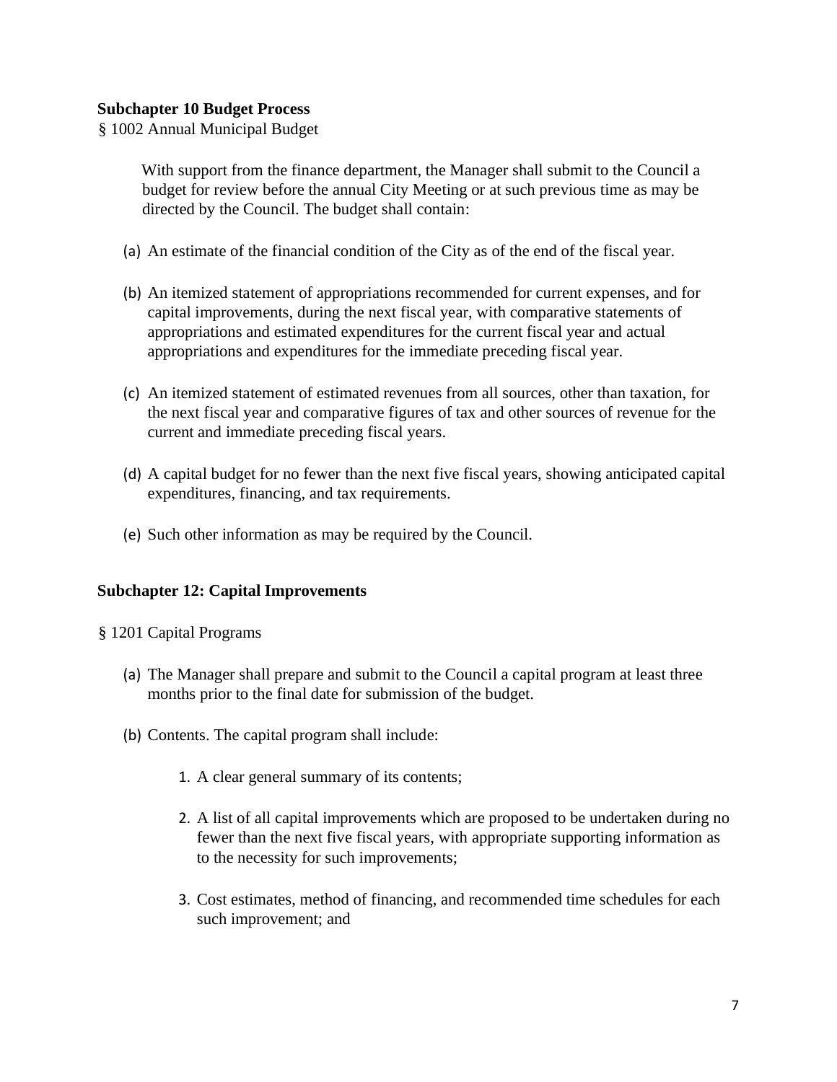#### **Subchapter 10 Budget Process**

§ 1002 Annual Municipal Budget

With support from the finance department, the Manager shall submit to the Council a budget for review before the annual City Meeting or at such previous time as may be directed by the Council. The budget shall contain:

- (a) An estimate of the financial condition of the City as of the end of the fiscal year.
- (b) An itemized statement of appropriations recommended for current expenses, and for capital improvements, during the next fiscal year, with comparative statements of appropriations and estimated expenditures for the current fiscal year and actual appropriations and expenditures for the immediate preceding fiscal year.
- (c) An itemized statement of estimated revenues from all sources, other than taxation, for the next fiscal year and comparative figures of tax and other sources of revenue for the current and immediate preceding fiscal years.
- (d) A capital budget for no fewer than the next five fiscal years, showing anticipated capital expenditures, financing, and tax requirements.
- (e) Such other information as may be required by the Council.

#### **Subchapter 12: Capital Improvements**

- § 1201 Capital Programs
	- (a) The Manager shall prepare and submit to the Council a capital program at least three months prior to the final date for submission of the budget.
	- (b) Contents. The capital program shall include:
		- 1. A clear general summary of its contents;
		- 2. A list of all capital improvements which are proposed to be undertaken during no fewer than the next five fiscal years, with appropriate supporting information as to the necessity for such improvements;
		- 3. Cost estimates, method of financing, and recommended time schedules for each such improvement; and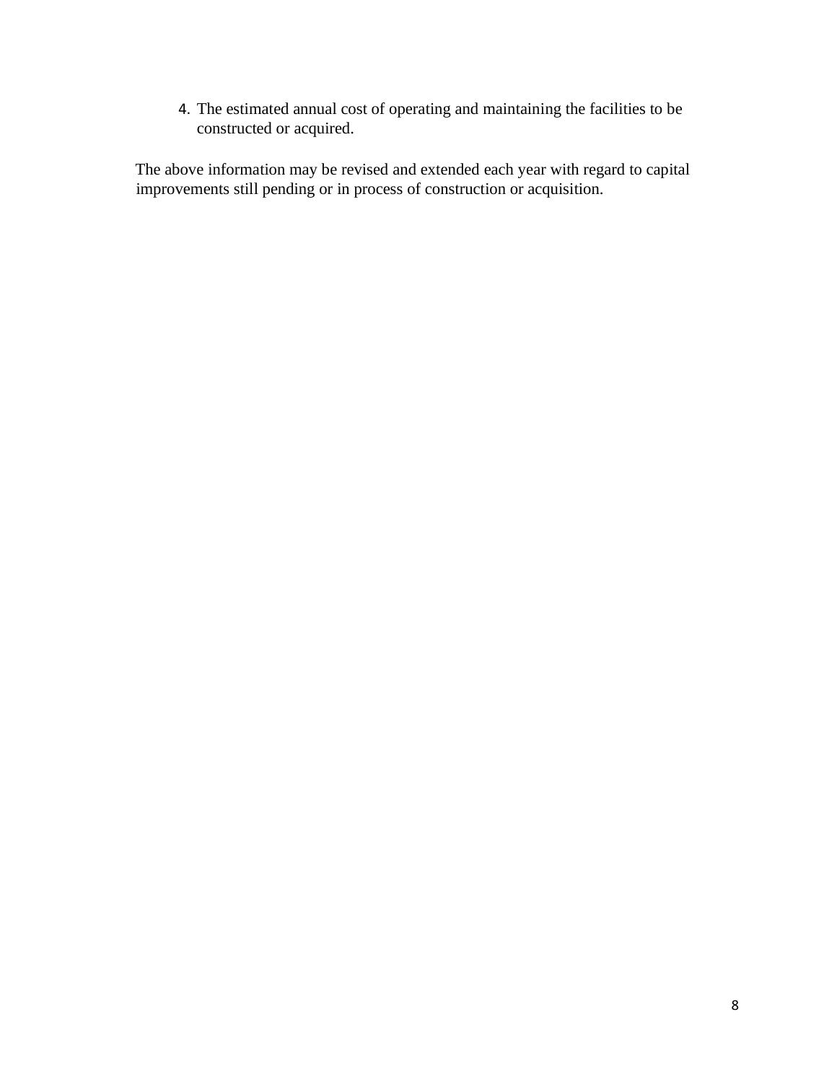4. The estimated annual cost of operating and maintaining the facilities to be constructed or acquired.

The above information may be revised and extended each year with regard to capital improvements still pending or in process of construction or acquisition.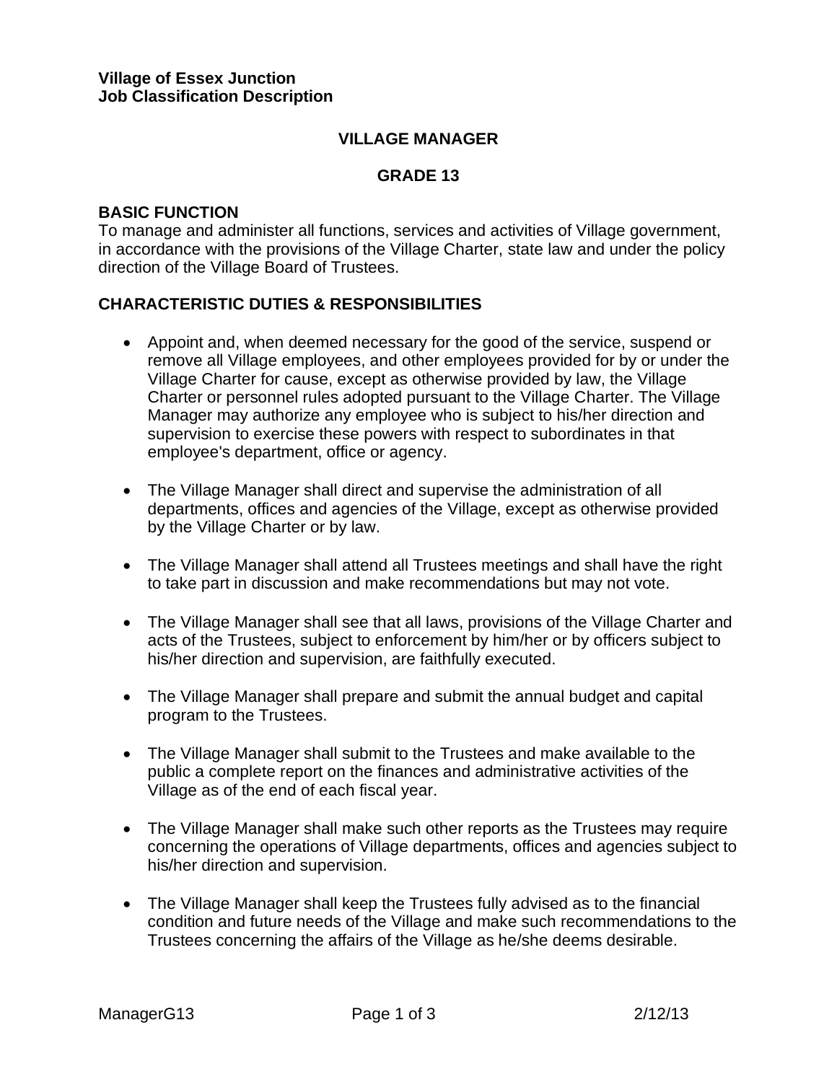#### **VILLAGE MANAGER**

### **GRADE 13**

#### **BASIC FUNCTION**

To manage and administer all functions, services and activities of Village government, in accordance with the provisions of the Village Charter, state law and under the policy direction of the Village Board of Trustees.

#### **CHARACTERISTIC DUTIES & RESPONSIBILITIES**

- Appoint and, when deemed necessary for the good of the service, suspend or remove all Village employees, and other employees provided for by or under the Village Charter for cause, except as otherwise provided by law, the Village Charter or personnel rules adopted pursuant to the Village Charter. The Village Manager may authorize any employee who is subject to his/her direction and supervision to exercise these powers with respect to subordinates in that employee's department, office or agency.
- The Village Manager shall direct and supervise the administration of all departments, offices and agencies of the Village, except as otherwise provided by the Village Charter or by law.
- The Village Manager shall attend all Trustees meetings and shall have the right to take part in discussion and make recommendations but may not vote.
- The Village Manager shall see that all laws, provisions of the Village Charter and acts of the Trustees, subject to enforcement by him/her or by officers subject to his/her direction and supervision, are faithfully executed.
- The Village Manager shall prepare and submit the annual budget and capital program to the Trustees.
- The Village Manager shall submit to the Trustees and make available to the public a complete report on the finances and administrative activities of the Village as of the end of each fiscal year.
- The Village Manager shall make such other reports as the Trustees may require concerning the operations of Village departments, offices and agencies subject to his/her direction and supervision.
- The Village Manager shall keep the Trustees fully advised as to the financial condition and future needs of the Village and make such recommendations to the Trustees concerning the affairs of the Village as he/she deems desirable.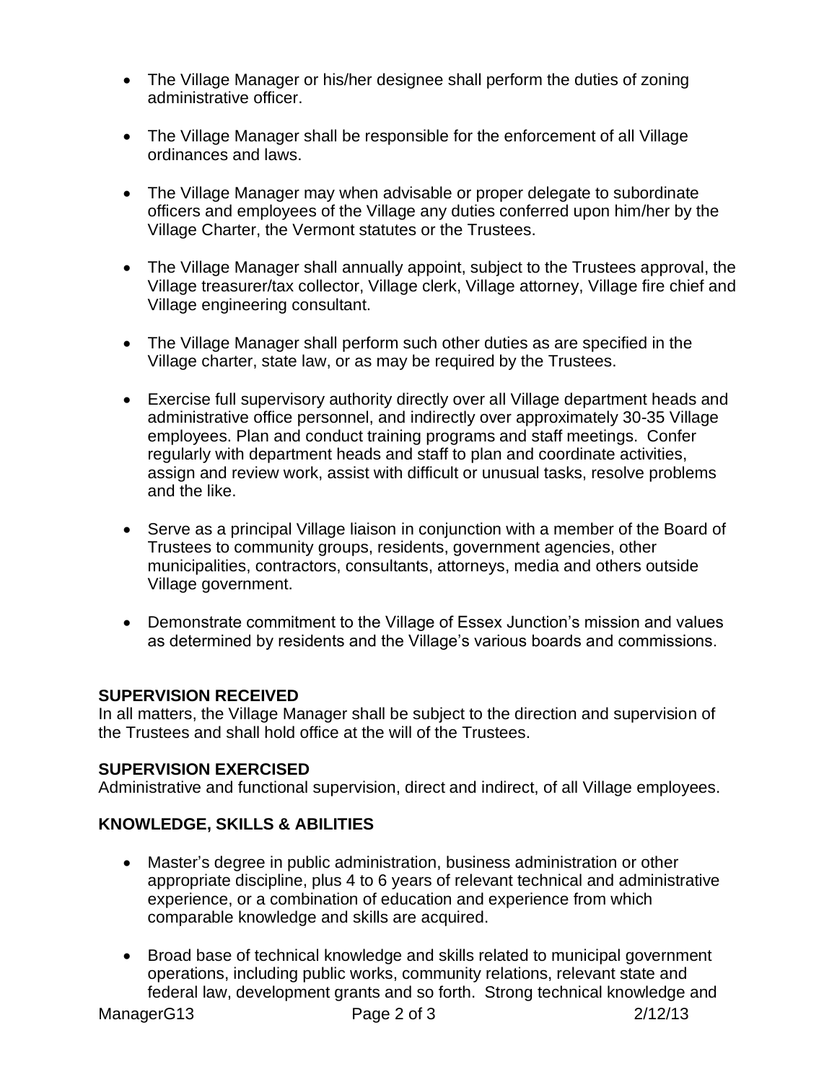- The Village Manager or his/her designee shall perform the duties of zoning administrative officer.
- The Village Manager shall be responsible for the enforcement of all Village ordinances and laws.
- The Village Manager may when advisable or proper delegate to subordinate officers and employees of the Village any duties conferred upon him/her by the Village Charter, the Vermont statutes or the Trustees.
- The Village Manager shall annually appoint, subject to the Trustees approval, the Village treasurer/tax collector, Village clerk, Village attorney, Village fire chief and Village engineering consultant.
- The Village Manager shall perform such other duties as are specified in the Village charter, state law, or as may be required by the Trustees.
- Exercise full supervisory authority directly over all Village department heads and administrative office personnel, and indirectly over approximately 30-35 Village employees. Plan and conduct training programs and staff meetings. Confer regularly with department heads and staff to plan and coordinate activities, assign and review work, assist with difficult or unusual tasks, resolve problems and the like.
- Serve as a principal Village liaison in conjunction with a member of the Board of Trustees to community groups, residents, government agencies, other municipalities, contractors, consultants, attorneys, media and others outside Village government.
- Demonstrate commitment to the Village of Essex Junction's mission and values as determined by residents and the Village's various boards and commissions.

### **SUPERVISION RECEIVED**

In all matters, the Village Manager shall be subject to the direction and supervision of the Trustees and shall hold office at the will of the Trustees.

#### **SUPERVISION EXERCISED**

Administrative and functional supervision, direct and indirect, of all Village employees.

### **KNOWLEDGE, SKILLS & ABILITIES**

- Master's degree in public administration, business administration or other appropriate discipline, plus 4 to 6 years of relevant technical and administrative experience, or a combination of education and experience from which comparable knowledge and skills are acquired.
- Broad base of technical knowledge and skills related to municipal government operations, including public works, community relations, relevant state and federal law, development grants and so forth. Strong technical knowledge and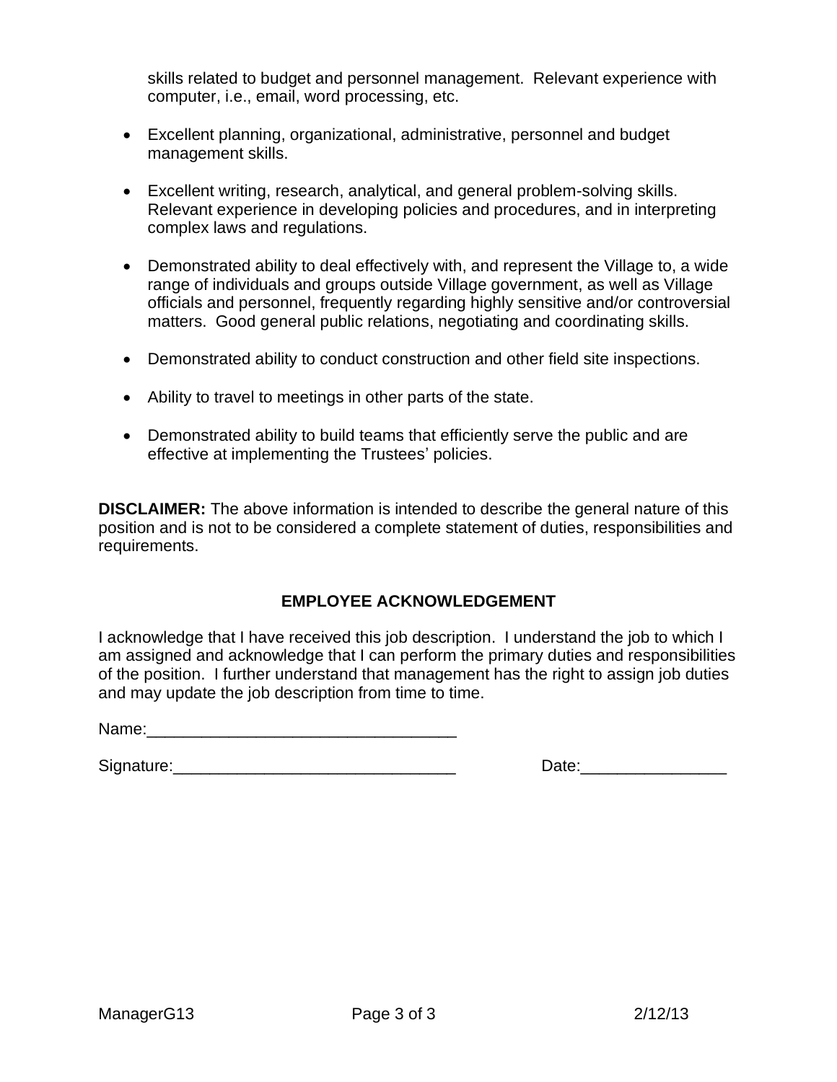skills related to budget and personnel management. Relevant experience with computer, i.e., email, word processing, etc.

- Excellent planning, organizational, administrative, personnel and budget management skills.
- Excellent writing, research, analytical, and general problem-solving skills. Relevant experience in developing policies and procedures, and in interpreting complex laws and regulations.
- Demonstrated ability to deal effectively with, and represent the Village to, a wide range of individuals and groups outside Village government, as well as Village officials and personnel, frequently regarding highly sensitive and/or controversial matters. Good general public relations, negotiating and coordinating skills.
- Demonstrated ability to conduct construction and other field site inspections.
- Ability to travel to meetings in other parts of the state.
- Demonstrated ability to build teams that efficiently serve the public and are effective at implementing the Trustees' policies.

**DISCLAIMER:** The above information is intended to describe the general nature of this position and is not to be considered a complete statement of duties, responsibilities and requirements.

#### **EMPLOYEE ACKNOWLEDGEMENT**

I acknowledge that I have received this job description. I understand the job to which I am assigned and acknowledge that I can perform the primary duties and responsibilities of the position. I further understand that management has the right to assign job duties and may update the job description from time to time.

Name:

Signature:\_\_\_\_\_\_\_\_\_\_\_\_\_\_\_\_\_\_\_\_\_\_\_\_\_\_\_\_\_\_\_ Date:\_\_\_\_\_\_\_\_\_\_\_\_\_\_\_\_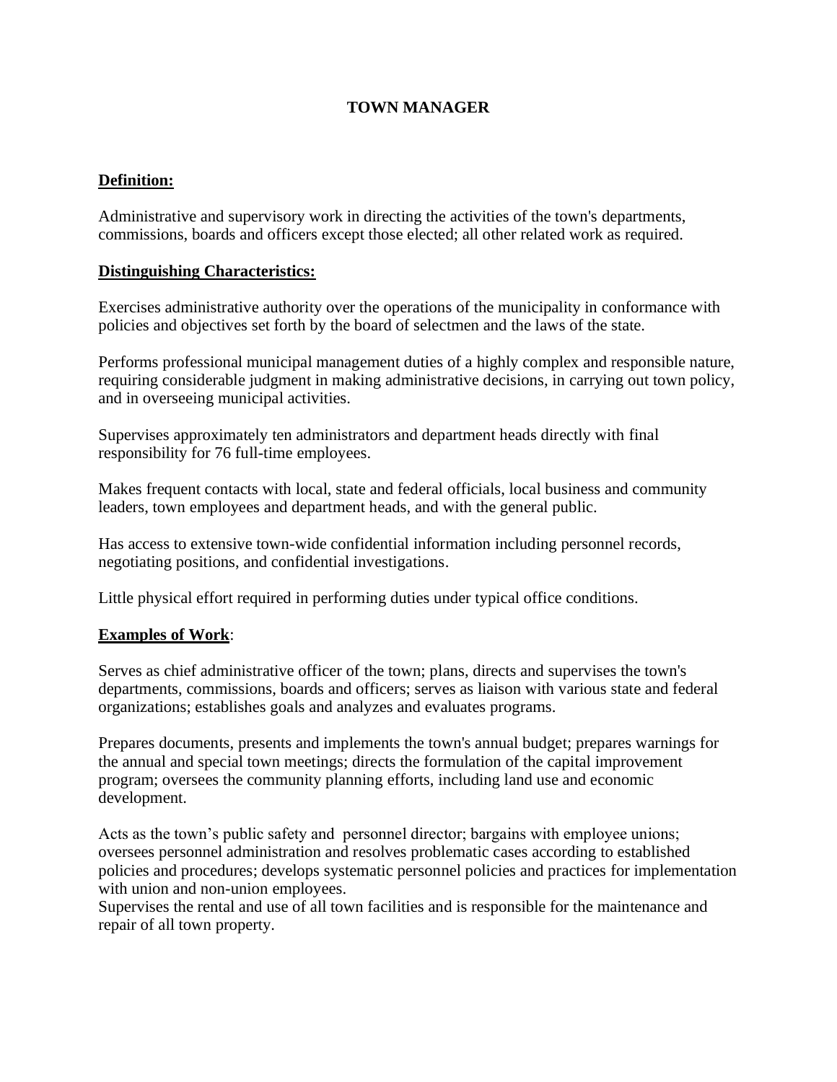#### **TOWN MANAGER**

#### **Definition:**

Administrative and supervisory work in directing the activities of the town's departments, commissions, boards and officers except those elected; all other related work as required.

#### **Distinguishing Characteristics:**

Exercises administrative authority over the operations of the municipality in conformance with policies and objectives set forth by the board of selectmen and the laws of the state.

Performs professional municipal management duties of a highly complex and responsible nature, requiring considerable judgment in making administrative decisions, in carrying out town policy, and in overseeing municipal activities.

Supervises approximately ten administrators and department heads directly with final responsibility for 76 full-time employees.

Makes frequent contacts with local, state and federal officials, local business and community leaders, town employees and department heads, and with the general public.

Has access to extensive town-wide confidential information including personnel records, negotiating positions, and confidential investigations.

Little physical effort required in performing duties under typical office conditions.

#### **Examples of Work**:

Serves as chief administrative officer of the town; plans, directs and supervises the town's departments, commissions, boards and officers; serves as liaison with various state and federal organizations; establishes goals and analyzes and evaluates programs.

Prepares documents, presents and implements the town's annual budget; prepares warnings for the annual and special town meetings; directs the formulation of the capital improvement program; oversees the community planning efforts, including land use and economic development.

Acts as the town's public safety and personnel director; bargains with employee unions; oversees personnel administration and resolves problematic cases according to established policies and procedures; develops systematic personnel policies and practices for implementation with union and non-union employees.

Supervises the rental and use of all town facilities and is responsible for the maintenance and repair of all town property.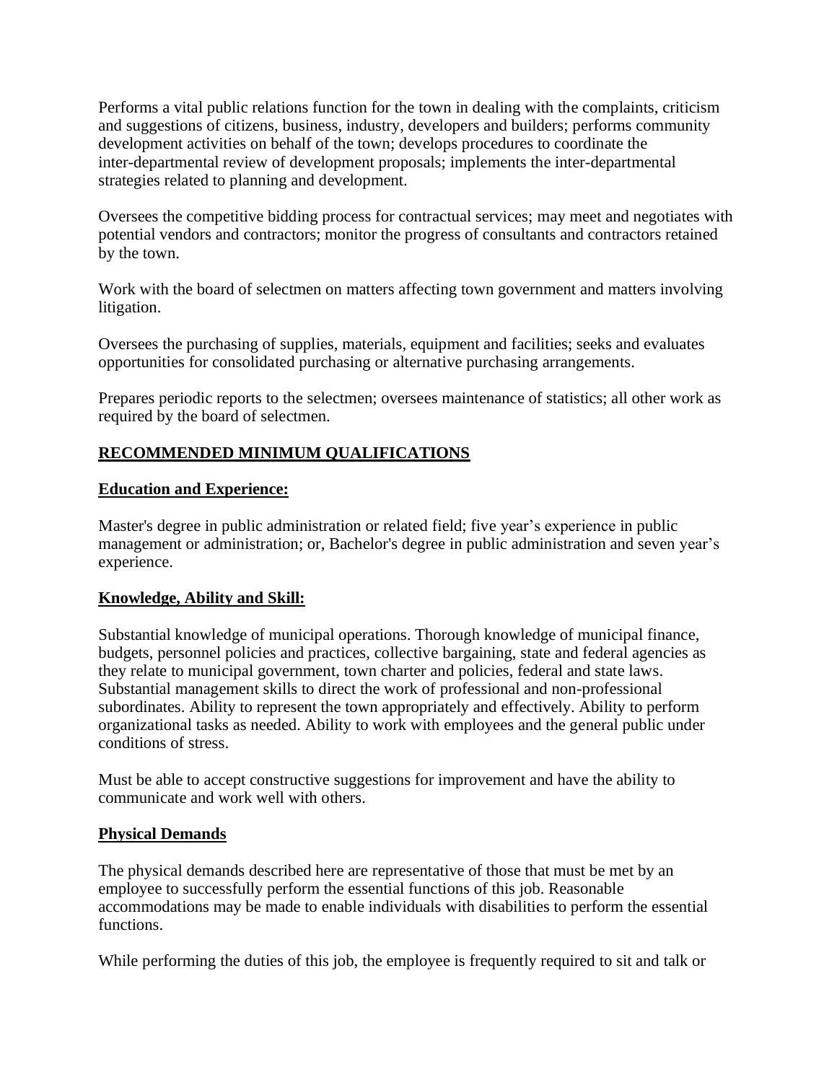Performs a vital public relations function for the town in dealing with the complaints, criticism and suggestions of citizens, business, industry, developers and builders; performs community development activities on behalf of the town; develops procedures to coordinate the inter-departmental review of development proposals; implements the inter-departmental strategies related to planning and development.

Oversees the competitive bidding process for contractual services; may meet and negotiates with potential vendors and contractors; monitor the progress of consultants and contractors retained by the town.

Work with the board of selectmen on matters affecting town government and matters involving litigation.

Oversees the purchasing of supplies, materials, equipment and facilities; seeks and evaluates opportunities for consolidated purchasing or alternative purchasing arrangements.

Prepares periodic reports to the selectmen; oversees maintenance of statistics; all other work as required by the board of selectmen.

#### **RECOMMENDED MINIMUM QUALIFICATIONS**

#### **Education and Experience:**

Master's degree in public administration or related field; five year's experience in public management or administration; or, Bachelor's degree in public administration and seven year's experience.

#### **Knowledge, Ability and Skill:**

Substantial knowledge of municipal operations. Thorough knowledge of municipal finance, budgets, personnel policies and practices, collective bargaining, state and federal agencies as they relate to municipal government, town charter and policies, federal and state laws. Substantial management skills to direct the work of professional and non-professional subordinates. Ability to represent the town appropriately and effectively. Ability to perform organizational tasks as needed. Ability to work with employees and the general public under conditions of stress.

Must be able to accept constructive suggestions for improvement and have the ability to communicate and work well with others.

#### **Physical Demands**

The physical demands described here are representative of those that must be met by an employee to successfully perform the essential functions of this job. Reasonable accommodations may be made to enable individuals with disabilities to perform the essential functions.

While performing the duties of this job, the employee is frequently required to sit and talk or